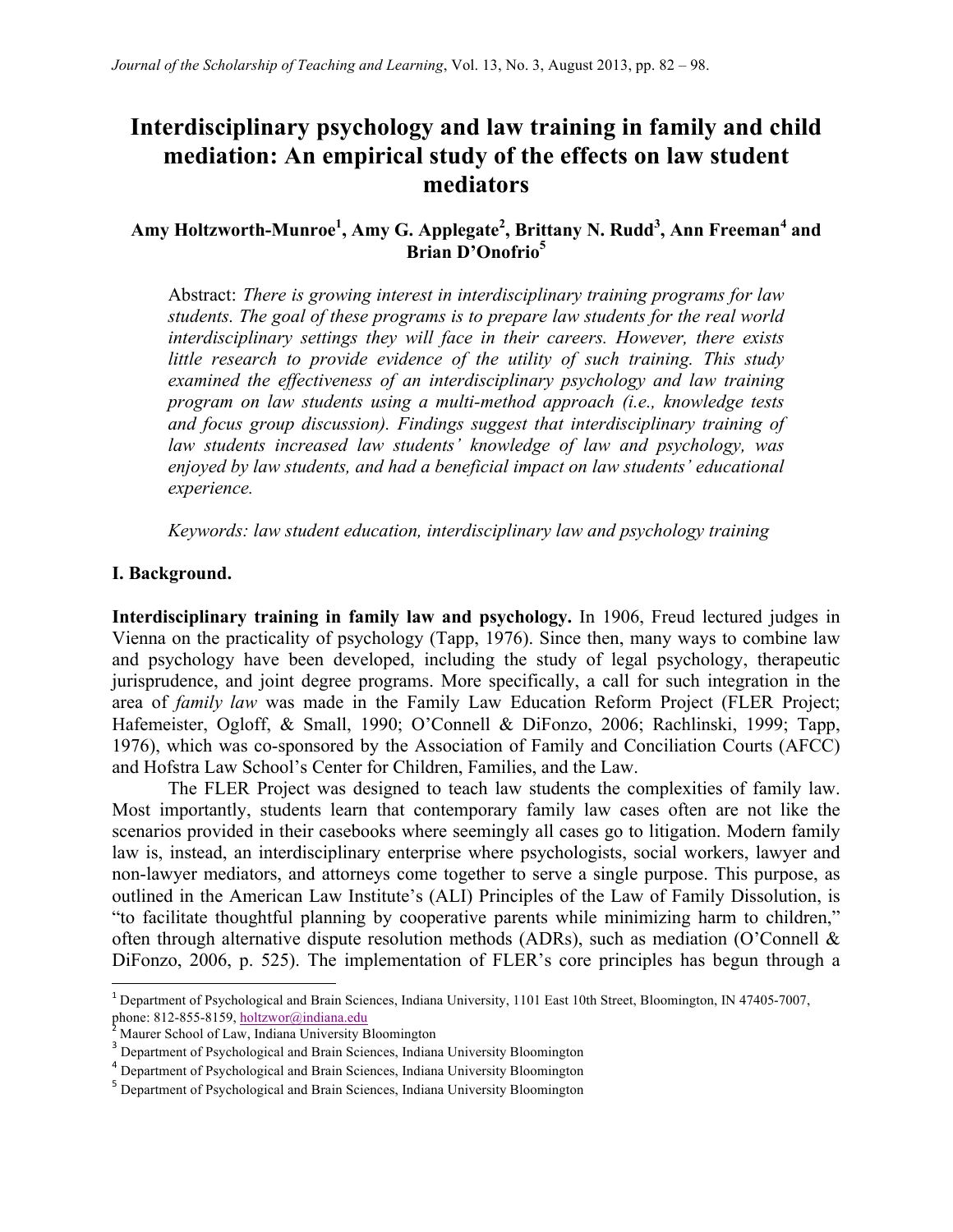# **Interdisciplinary psychology and law training in family and child mediation: An empirical study of the effects on law student mediators**

# **Amy Holtzworth-Munroe1 , Amy G. Applegate<sup>2</sup> , Brittany N. Rudd3 , Ann Freeman<sup>4</sup> and Brian D'Onofrio5**

Abstract: *There is growing interest in interdisciplinary training programs for law students. The goal of these programs is to prepare law students for the real world interdisciplinary settings they will face in their careers. However, there exists little research to provide evidence of the utility of such training. This study examined the effectiveness of an interdisciplinary psychology and law training program on law students using a multi-method approach (i.e., knowledge tests and focus group discussion). Findings suggest that interdisciplinary training of law students increased law students' knowledge of law and psychology, was enjoyed by law students, and had a beneficial impact on law students' educational experience.*

*Keywords: law student education, interdisciplinary law and psychology training*

#### **I. Background.**

**Interdisciplinary training in family law and psychology.** In 1906, Freud lectured judges in Vienna on the practicality of psychology (Tapp, 1976). Since then, many ways to combine law and psychology have been developed, including the study of legal psychology, therapeutic jurisprudence, and joint degree programs. More specifically, a call for such integration in the area of *family law* was made in the Family Law Education Reform Project (FLER Project; Hafemeister, Ogloff, & Small, 1990; O'Connell & DiFonzo, 2006; Rachlinski, 1999; Tapp, 1976), which was co-sponsored by the Association of Family and Conciliation Courts (AFCC) and Hofstra Law School's Center for Children, Families, and the Law.

The FLER Project was designed to teach law students the complexities of family law. Most importantly, students learn that contemporary family law cases often are not like the scenarios provided in their casebooks where seemingly all cases go to litigation. Modern family law is, instead, an interdisciplinary enterprise where psychologists, social workers, lawyer and non-lawyer mediators, and attorneys come together to serve a single purpose. This purpose, as outlined in the American Law Institute's (ALI) Principles of the Law of Family Dissolution, is "to facilitate thoughtful planning by cooperative parents while minimizing harm to children," often through alternative dispute resolution methods (ADRs), such as mediation (O'Connell & DiFonzo, 2006, p. 525). The implementation of FLER's core principles has begun through a

<sup>&</sup>lt;sup>1</sup> Department of Psychological and Brain Sciences, Indiana University, 1101 East 10th Street, Bloomington, IN 47405-7007, phone: 812-855-8159, holtzwor@indiana.edu

 $3$ <sup>2</sup> Maurer School of Law, Indiana University Bloomington  $3$  Department of Psychological and Brain Sciences, Indiana University Bloomington

<sup>4</sup> Department of Psychological and Brain Sciences, Indiana University Bloomington

<sup>&</sup>lt;sup>5</sup> Department of Psychological and Brain Sciences, Indiana University Bloomington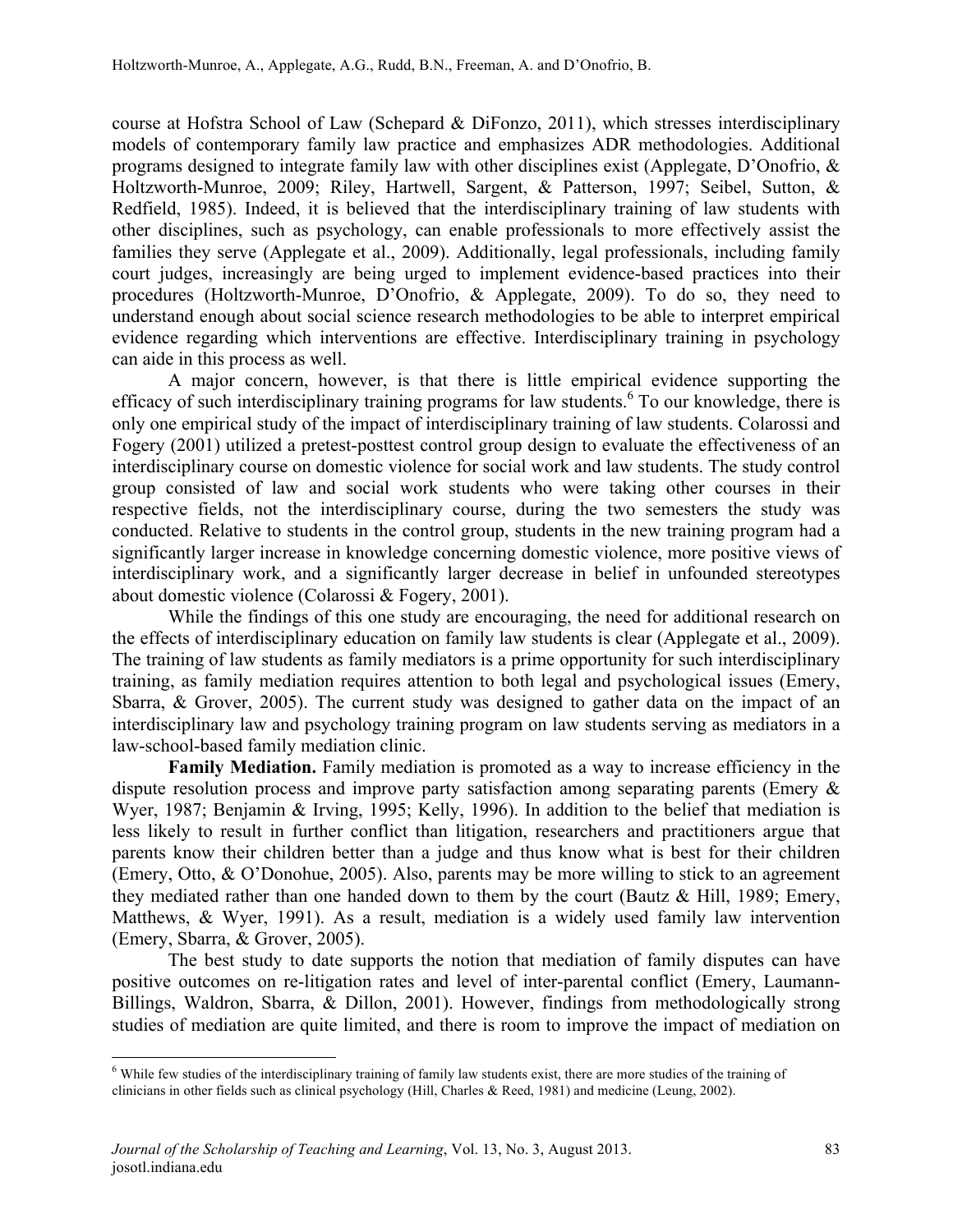course at Hofstra School of Law (Schepard & DiFonzo, 2011), which stresses interdisciplinary models of contemporary family law practice and emphasizes ADR methodologies. Additional programs designed to integrate family law with other disciplines exist (Applegate, D'Onofrio, & Holtzworth-Munroe, 2009; Riley, Hartwell, Sargent, & Patterson, 1997; Seibel, Sutton, & Redfield, 1985). Indeed, it is believed that the interdisciplinary training of law students with other disciplines, such as psychology, can enable professionals to more effectively assist the families they serve (Applegate et al., 2009). Additionally, legal professionals, including family court judges, increasingly are being urged to implement evidence-based practices into their procedures (Holtzworth-Munroe, D'Onofrio, & Applegate, 2009). To do so, they need to understand enough about social science research methodologies to be able to interpret empirical evidence regarding which interventions are effective. Interdisciplinary training in psychology can aide in this process as well.

A major concern, however, is that there is little empirical evidence supporting the efficacy of such interdisciplinary training programs for law students.<sup>6</sup> To our knowledge, there is only one empirical study of the impact of interdisciplinary training of law students. Colarossi and Fogery (2001) utilized a pretest-posttest control group design to evaluate the effectiveness of an interdisciplinary course on domestic violence for social work and law students. The study control group consisted of law and social work students who were taking other courses in their respective fields, not the interdisciplinary course, during the two semesters the study was conducted. Relative to students in the control group, students in the new training program had a significantly larger increase in knowledge concerning domestic violence, more positive views of interdisciplinary work, and a significantly larger decrease in belief in unfounded stereotypes about domestic violence (Colarossi & Fogery, 2001).

While the findings of this one study are encouraging, the need for additional research on the effects of interdisciplinary education on family law students is clear (Applegate et al., 2009). The training of law students as family mediators is a prime opportunity for such interdisciplinary training, as family mediation requires attention to both legal and psychological issues (Emery, Sbarra, & Grover, 2005). The current study was designed to gather data on the impact of an interdisciplinary law and psychology training program on law students serving as mediators in a law-school-based family mediation clinic.

**Family Mediation.** Family mediation is promoted as a way to increase efficiency in the dispute resolution process and improve party satisfaction among separating parents (Emery & Wyer, 1987; Benjamin & Irving, 1995; Kelly, 1996). In addition to the belief that mediation is less likely to result in further conflict than litigation, researchers and practitioners argue that parents know their children better than a judge and thus know what is best for their children (Emery, Otto, & O'Donohue, 2005). Also, parents may be more willing to stick to an agreement they mediated rather than one handed down to them by the court (Bautz & Hill, 1989; Emery, Matthews, & Wyer, 1991). As a result, mediation is a widely used family law intervention (Emery, Sbarra, & Grover, 2005).

The best study to date supports the notion that mediation of family disputes can have positive outcomes on re-litigation rates and level of inter-parental conflict (Emery, Laumann-Billings, Waldron, Sbarra, & Dillon, 2001). However, findings from methodologically strong studies of mediation are quite limited, and there is room to improve the impact of mediation on

<sup>&</sup>lt;sup>6</sup> While few studies of the interdisciplinary training of family law students exist, there are more studies of the training of clinicians in other fields such as clinical psychology (Hill, Charles & Reed, 1981) and medicine (Leung, 2002).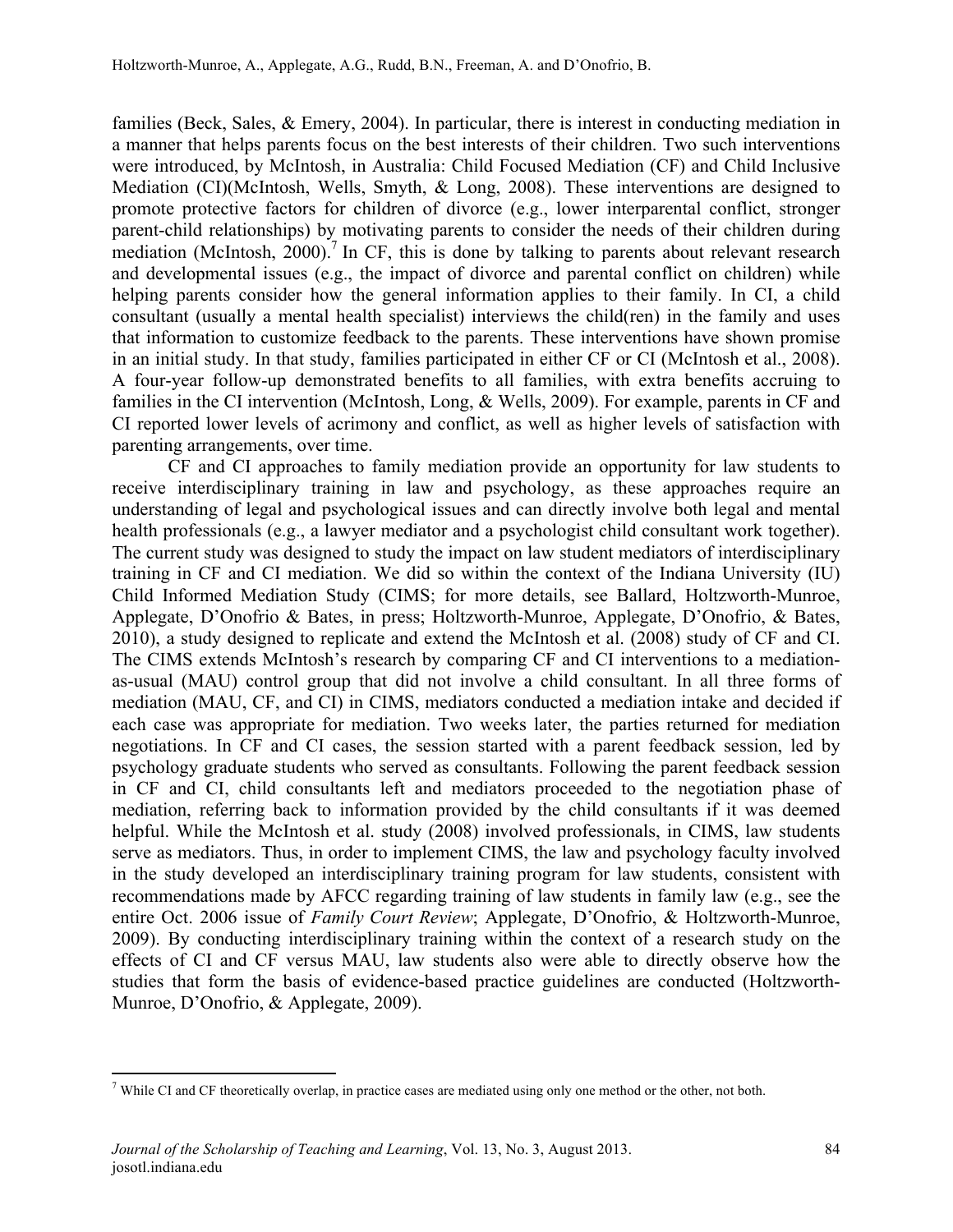families (Beck, Sales, & Emery, 2004). In particular, there is interest in conducting mediation in a manner that helps parents focus on the best interests of their children. Two such interventions were introduced, by McIntosh, in Australia: Child Focused Mediation (CF) and Child Inclusive Mediation (CI)(McIntosh, Wells, Smyth, & Long, 2008). These interventions are designed to promote protective factors for children of divorce (e.g., lower interparental conflict, stronger parent-child relationships) by motivating parents to consider the needs of their children during mediation (McIntosh,  $2000$ ).<sup>7</sup> In CF, this is done by talking to parents about relevant research and developmental issues (e.g., the impact of divorce and parental conflict on children) while helping parents consider how the general information applies to their family. In CI, a child consultant (usually a mental health specialist) interviews the child(ren) in the family and uses that information to customize feedback to the parents. These interventions have shown promise in an initial study. In that study, families participated in either CF or CI (McIntosh et al., 2008). A four-year follow-up demonstrated benefits to all families, with extra benefits accruing to families in the CI intervention (McIntosh, Long, & Wells, 2009). For example, parents in CF and CI reported lower levels of acrimony and conflict, as well as higher levels of satisfaction with parenting arrangements, over time.

CF and CI approaches to family mediation provide an opportunity for law students to receive interdisciplinary training in law and psychology, as these approaches require an understanding of legal and psychological issues and can directly involve both legal and mental health professionals (e.g., a lawyer mediator and a psychologist child consultant work together). The current study was designed to study the impact on law student mediators of interdisciplinary training in CF and CI mediation. We did so within the context of the Indiana University (IU) Child Informed Mediation Study (CIMS; for more details, see Ballard, Holtzworth-Munroe, Applegate, D'Onofrio & Bates, in press; Holtzworth-Munroe, Applegate, D'Onofrio, & Bates, 2010), a study designed to replicate and extend the McIntosh et al. (2008) study of CF and CI. The CIMS extends McIntosh's research by comparing CF and CI interventions to a mediationas-usual (MAU) control group that did not involve a child consultant. In all three forms of mediation (MAU, CF, and CI) in CIMS, mediators conducted a mediation intake and decided if each case was appropriate for mediation. Two weeks later, the parties returned for mediation negotiations. In CF and CI cases, the session started with a parent feedback session, led by psychology graduate students who served as consultants. Following the parent feedback session in CF and CI, child consultants left and mediators proceeded to the negotiation phase of mediation, referring back to information provided by the child consultants if it was deemed helpful. While the McIntosh et al. study (2008) involved professionals, in CIMS, law students serve as mediators. Thus, in order to implement CIMS, the law and psychology faculty involved in the study developed an interdisciplinary training program for law students, consistent with recommendations made by AFCC regarding training of law students in family law (e.g., see the entire Oct. 2006 issue of *Family Court Review*; Applegate, D'Onofrio, & Holtzworth-Munroe, 2009). By conducting interdisciplinary training within the context of a research study on the effects of CI and CF versus MAU, law students also were able to directly observe how the studies that form the basis of evidence-based practice guidelines are conducted (Holtzworth-Munroe, D'Onofrio, & Applegate, 2009).

<u> 1989 - Johann Stein, markin film yn y breninn y breninn y breninn y breninn y breninn y breninn y breninn y b</u>

 $<sup>7</sup>$  While CI and CF theoretically overlap, in practice cases are mediated using only one method or the other, not both.</sup>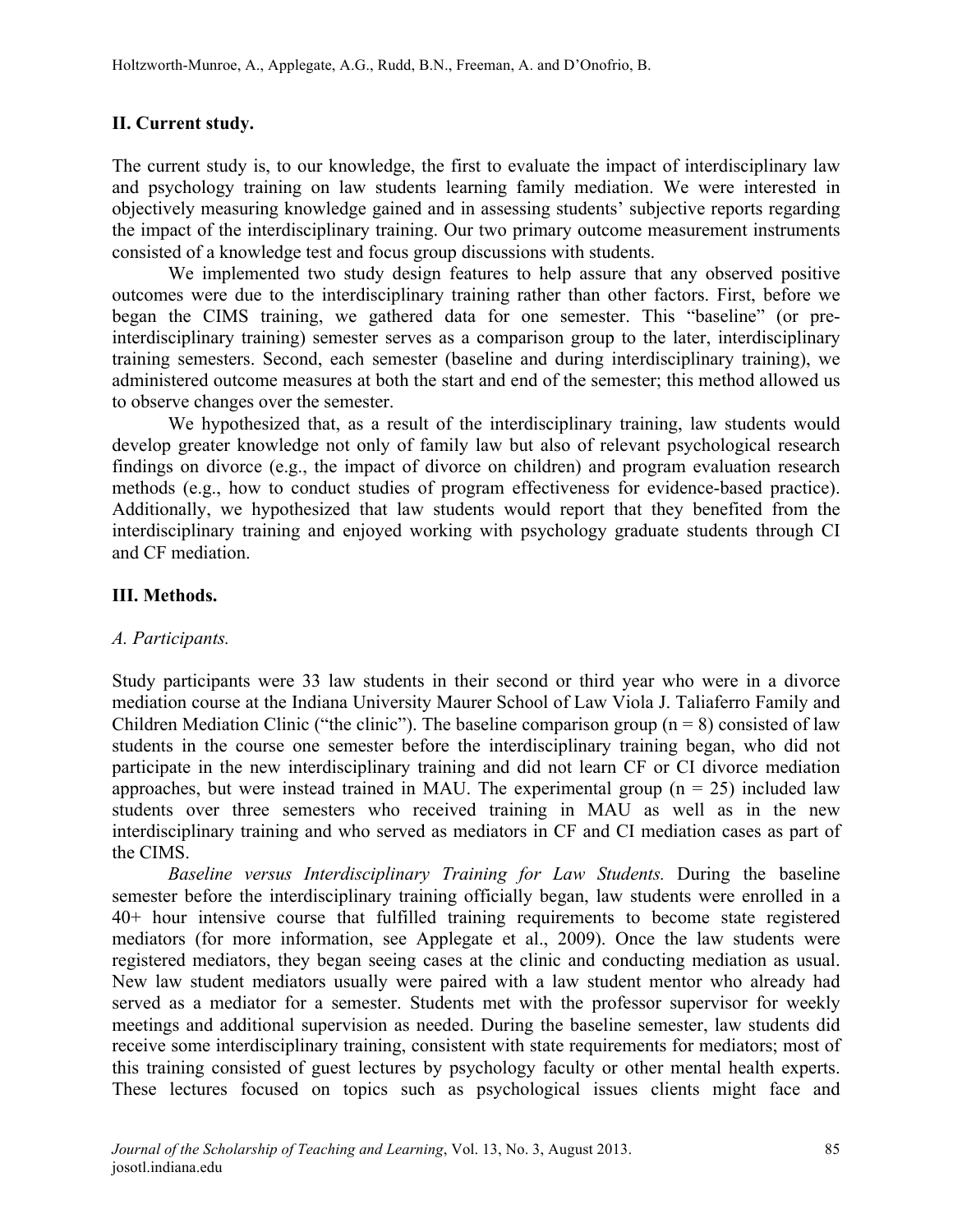# **II. Current study.**

The current study is, to our knowledge, the first to evaluate the impact of interdisciplinary law and psychology training on law students learning family mediation. We were interested in objectively measuring knowledge gained and in assessing students' subjective reports regarding the impact of the interdisciplinary training. Our two primary outcome measurement instruments consisted of a knowledge test and focus group discussions with students.

We implemented two study design features to help assure that any observed positive outcomes were due to the interdisciplinary training rather than other factors. First, before we began the CIMS training, we gathered data for one semester. This "baseline" (or preinterdisciplinary training) semester serves as a comparison group to the later, interdisciplinary training semesters. Second, each semester (baseline and during interdisciplinary training), we administered outcome measures at both the start and end of the semester; this method allowed us to observe changes over the semester.

We hypothesized that, as a result of the interdisciplinary training, law students would develop greater knowledge not only of family law but also of relevant psychological research findings on divorce (e.g., the impact of divorce on children) and program evaluation research methods (e.g., how to conduct studies of program effectiveness for evidence-based practice). Additionally, we hypothesized that law students would report that they benefited from the interdisciplinary training and enjoyed working with psychology graduate students through CI and CF mediation.

## **III. Methods.**

## *A. Participants.*

Study participants were 33 law students in their second or third year who were in a divorce mediation course at the Indiana University Maurer School of Law Viola J. Taliaferro Family and Children Mediation Clinic ("the clinic"). The baseline comparison group ( $n = 8$ ) consisted of law students in the course one semester before the interdisciplinary training began, who did not participate in the new interdisciplinary training and did not learn CF or CI divorce mediation approaches, but were instead trained in MAU. The experimental group  $(n = 25)$  included law students over three semesters who received training in MAU as well as in the new interdisciplinary training and who served as mediators in CF and CI mediation cases as part of the CIMS.

*Baseline versus Interdisciplinary Training for Law Students.* During the baseline semester before the interdisciplinary training officially began, law students were enrolled in a 40+ hour intensive course that fulfilled training requirements to become state registered mediators (for more information, see Applegate et al., 2009). Once the law students were registered mediators, they began seeing cases at the clinic and conducting mediation as usual. New law student mediators usually were paired with a law student mentor who already had served as a mediator for a semester. Students met with the professor supervisor for weekly meetings and additional supervision as needed. During the baseline semester, law students did receive some interdisciplinary training, consistent with state requirements for mediators; most of this training consisted of guest lectures by psychology faculty or other mental health experts. These lectures focused on topics such as psychological issues clients might face and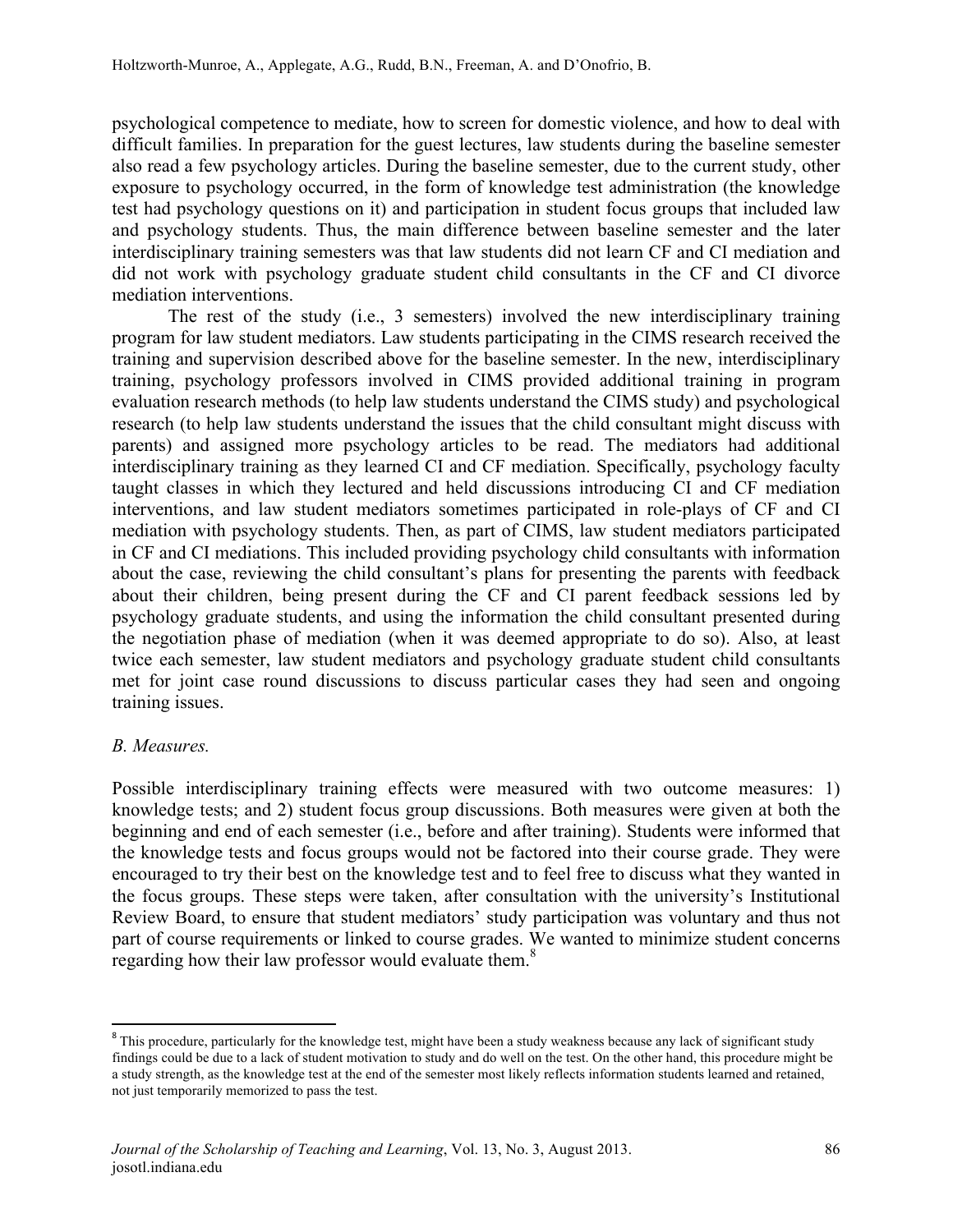psychological competence to mediate, how to screen for domestic violence, and how to deal with difficult families. In preparation for the guest lectures, law students during the baseline semester also read a few psychology articles. During the baseline semester, due to the current study, other exposure to psychology occurred, in the form of knowledge test administration (the knowledge test had psychology questions on it) and participation in student focus groups that included law and psychology students. Thus, the main difference between baseline semester and the later interdisciplinary training semesters was that law students did not learn CF and CI mediation and did not work with psychology graduate student child consultants in the CF and CI divorce mediation interventions.

The rest of the study (i.e., 3 semesters) involved the new interdisciplinary training program for law student mediators. Law students participating in the CIMS research received the training and supervision described above for the baseline semester. In the new, interdisciplinary training, psychology professors involved in CIMS provided additional training in program evaluation research methods (to help law students understand the CIMS study) and psychological research (to help law students understand the issues that the child consultant might discuss with parents) and assigned more psychology articles to be read. The mediators had additional interdisciplinary training as they learned CI and CF mediation. Specifically, psychology faculty taught classes in which they lectured and held discussions introducing CI and CF mediation interventions, and law student mediators sometimes participated in role-plays of CF and CI mediation with psychology students. Then, as part of CIMS, law student mediators participated in CF and CI mediations. This included providing psychology child consultants with information about the case, reviewing the child consultant's plans for presenting the parents with feedback about their children, being present during the CF and CI parent feedback sessions led by psychology graduate students, and using the information the child consultant presented during the negotiation phase of mediation (when it was deemed appropriate to do so). Also, at least twice each semester, law student mediators and psychology graduate student child consultants met for joint case round discussions to discuss particular cases they had seen and ongoing training issues.

## *B. Measures.*

Possible interdisciplinary training effects were measured with two outcome measures: 1) knowledge tests; and 2) student focus group discussions. Both measures were given at both the beginning and end of each semester (i.e., before and after training). Students were informed that the knowledge tests and focus groups would not be factored into their course grade. They were encouraged to try their best on the knowledge test and to feel free to discuss what they wanted in the focus groups. These steps were taken, after consultation with the university's Institutional Review Board, to ensure that student mediators' study participation was voluntary and thus not part of course requirements or linked to course grades. We wanted to minimize student concerns regarding how their law professor would evaluate them.<sup>8</sup>

<sup>&</sup>lt;sup>8</sup> This procedure, particularly for the knowledge test, might have been a study weakness because any lack of significant study findings could be due to a lack of student motivation to study and do well on the test. On the other hand, this procedure might be a study strength, as the knowledge test at the end of the semester most likely reflects information students learned and retained, not just temporarily memorized to pass the test.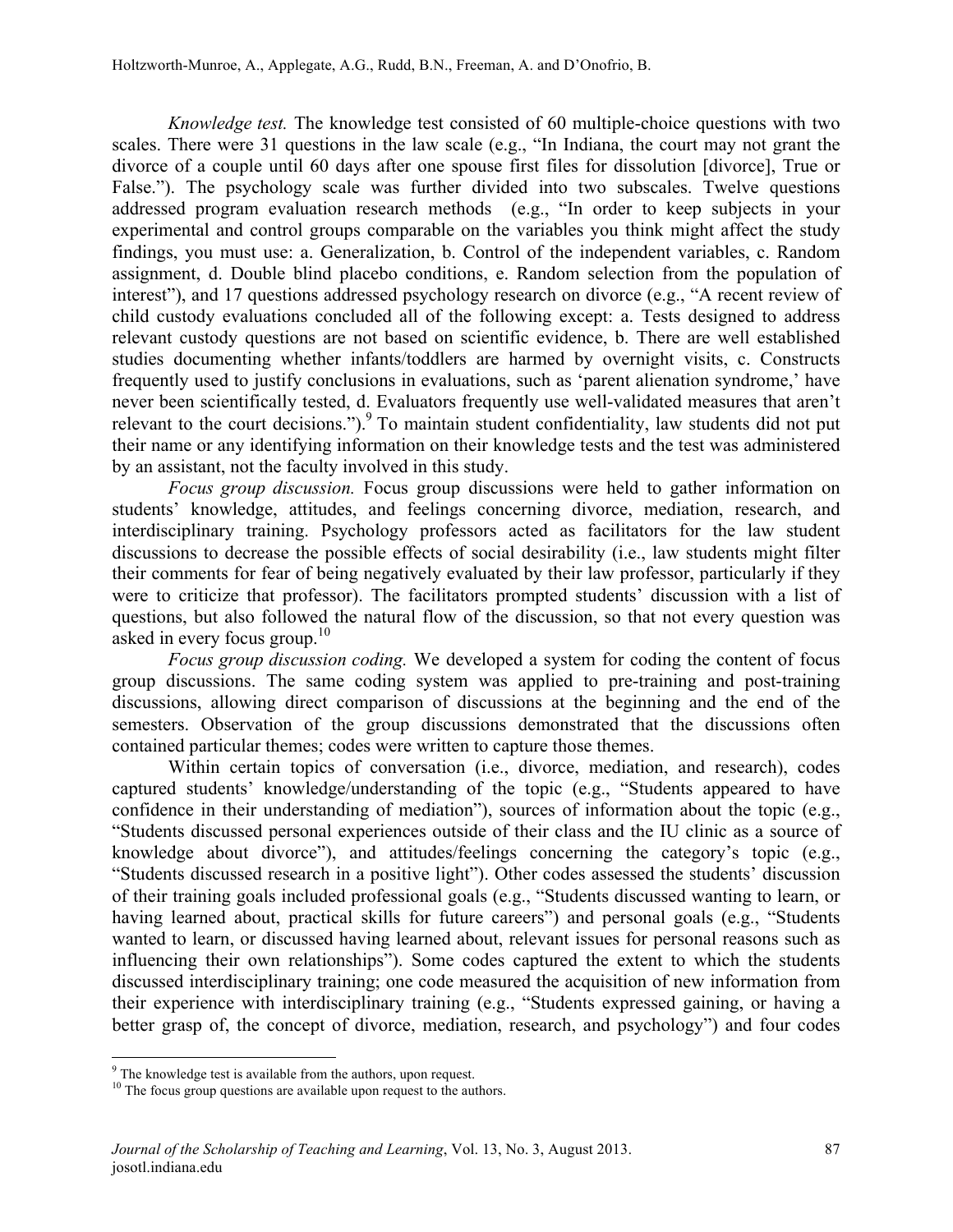*Knowledge test.* The knowledge test consisted of 60 multiple-choice questions with two scales. There were 31 questions in the law scale (e.g., "In Indiana, the court may not grant the divorce of a couple until 60 days after one spouse first files for dissolution [divorce], True or False."). The psychology scale was further divided into two subscales. Twelve questions addressed program evaluation research methods (e.g., "In order to keep subjects in your experimental and control groups comparable on the variables you think might affect the study findings, you must use: a. Generalization, b. Control of the independent variables, c. Random assignment, d. Double blind placebo conditions, e. Random selection from the population of interest"), and 17 questions addressed psychology research on divorce (e.g., "A recent review of child custody evaluations concluded all of the following except: a. Tests designed to address relevant custody questions are not based on scientific evidence, b. There are well established studies documenting whether infants/toddlers are harmed by overnight visits, c. Constructs frequently used to justify conclusions in evaluations, such as 'parent alienation syndrome,' have never been scientifically tested, d. Evaluators frequently use well-validated measures that aren't relevant to the court decisions.").<sup>9</sup> To maintain student confidentiality, law students did not put their name or any identifying information on their knowledge tests and the test was administered by an assistant, not the faculty involved in this study.

*Focus group discussion.* Focus group discussions were held to gather information on students' knowledge, attitudes, and feelings concerning divorce, mediation, research, and interdisciplinary training. Psychology professors acted as facilitators for the law student discussions to decrease the possible effects of social desirability (i.e., law students might filter their comments for fear of being negatively evaluated by their law professor, particularly if they were to criticize that professor). The facilitators prompted students' discussion with a list of questions, but also followed the natural flow of the discussion, so that not every question was asked in every focus group. 10

*Focus group discussion coding.* We developed a system for coding the content of focus group discussions. The same coding system was applied to pre-training and post-training discussions, allowing direct comparison of discussions at the beginning and the end of the semesters. Observation of the group discussions demonstrated that the discussions often contained particular themes; codes were written to capture those themes.

Within certain topics of conversation (i.e., divorce, mediation, and research), codes captured students' knowledge/understanding of the topic (e.g., "Students appeared to have confidence in their understanding of mediation"), sources of information about the topic (e.g., "Students discussed personal experiences outside of their class and the IU clinic as a source of knowledge about divorce"), and attitudes/feelings concerning the category's topic (e.g., "Students discussed research in a positive light"). Other codes assessed the students' discussion of their training goals included professional goals (e.g., "Students discussed wanting to learn, or having learned about, practical skills for future careers") and personal goals (e.g., "Students wanted to learn, or discussed having learned about, relevant issues for personal reasons such as influencing their own relationships"). Some codes captured the extent to which the students discussed interdisciplinary training; one code measured the acquisition of new information from their experience with interdisciplinary training (e.g., "Students expressed gaining, or having a better grasp of, the concept of divorce, mediation, research, and psychology") and four codes

<sup>&</sup>lt;sup>9</sup> The knowledge test is available from the authors, upon request.

<sup>&</sup>lt;sup>10</sup> The focus group questions are available upon request to the authors.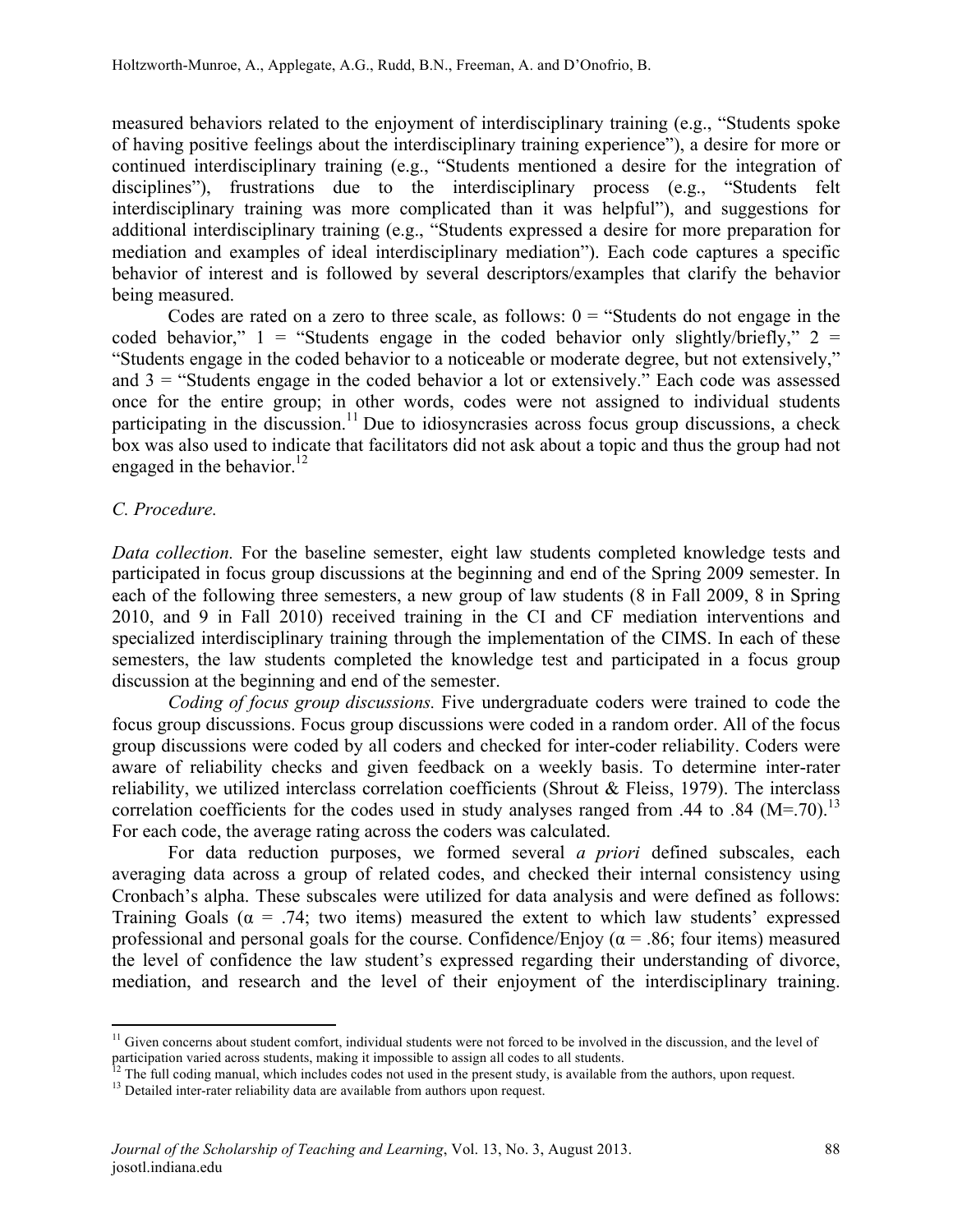measured behaviors related to the enjoyment of interdisciplinary training (e.g., "Students spoke of having positive feelings about the interdisciplinary training experience"), a desire for more or continued interdisciplinary training (e.g., "Students mentioned a desire for the integration of disciplines"), frustrations due to the interdisciplinary process (e.g., "Students felt interdisciplinary training was more complicated than it was helpful"), and suggestions for additional interdisciplinary training (e.g., "Students expressed a desire for more preparation for mediation and examples of ideal interdisciplinary mediation"). Each code captures a specific behavior of interest and is followed by several descriptors/examples that clarify the behavior being measured.

Codes are rated on a zero to three scale, as follows:  $0 =$  "Students do not engage in the coded behavior,"  $1 =$  "Students engage in the coded behavior only slightly/briefly,"  $2 =$ "Students engage in the coded behavior to a noticeable or moderate degree, but not extensively," and  $3 =$  "Students engage in the coded behavior a lot or extensively." Each code was assessed once for the entire group; in other words, codes were not assigned to individual students participating in the discussion.<sup>11</sup> Due to idiosyncrasies across focus group discussions, a check box was also used to indicate that facilitators did not ask about a topic and thus the group had not engaged in the behavior.<sup>12</sup>

# *C. Procedure.*

*Data collection.* For the baseline semester, eight law students completed knowledge tests and participated in focus group discussions at the beginning and end of the Spring 2009 semester. In each of the following three semesters, a new group of law students (8 in Fall 2009, 8 in Spring 2010, and 9 in Fall 2010) received training in the CI and CF mediation interventions and specialized interdisciplinary training through the implementation of the CIMS. In each of these semesters, the law students completed the knowledge test and participated in a focus group discussion at the beginning and end of the semester.

*Coding of focus group discussions.* Five undergraduate coders were trained to code the focus group discussions. Focus group discussions were coded in a random order. All of the focus group discussions were coded by all coders and checked for inter-coder reliability. Coders were aware of reliability checks and given feedback on a weekly basis. To determine inter-rater reliability, we utilized interclass correlation coefficients (Shrout & Fleiss, 1979). The interclass correlation coefficients for the codes used in study analyses ranged from .44 to .84  $(M=.70)$ .<sup>13</sup> For each code, the average rating across the coders was calculated.

For data reduction purposes, we formed several *a priori* defined subscales, each averaging data across a group of related codes, and checked their internal consistency using Cronbach's alpha. These subscales were utilized for data analysis and were defined as follows: Training Goals ( $\alpha$  = .74; two items) measured the extent to which law students' expressed professional and personal goals for the course. Confidence/Enjoy ( $\alpha$  = .86; four items) measured the level of confidence the law student's expressed regarding their understanding of divorce, mediation, and research and the level of their enjoyment of the interdisciplinary training.

<u> 1989 - Johann Stein, markin film yn y breninn y breninn y breninn y breninn y breninn y breninn y breninn y b</u>

 $11$  Given concerns about student comfort, individual students were not forced to be involved in the discussion, and the level of participation varied across students, making it impossible to assign all codes to all students.

<sup>&</sup>lt;sup>12</sup> The full coding manual, which includes codes not used in the present study, is available from the authors, upon request. <sup>13</sup> Detailed inter-rater reliability data are available from authors upon request.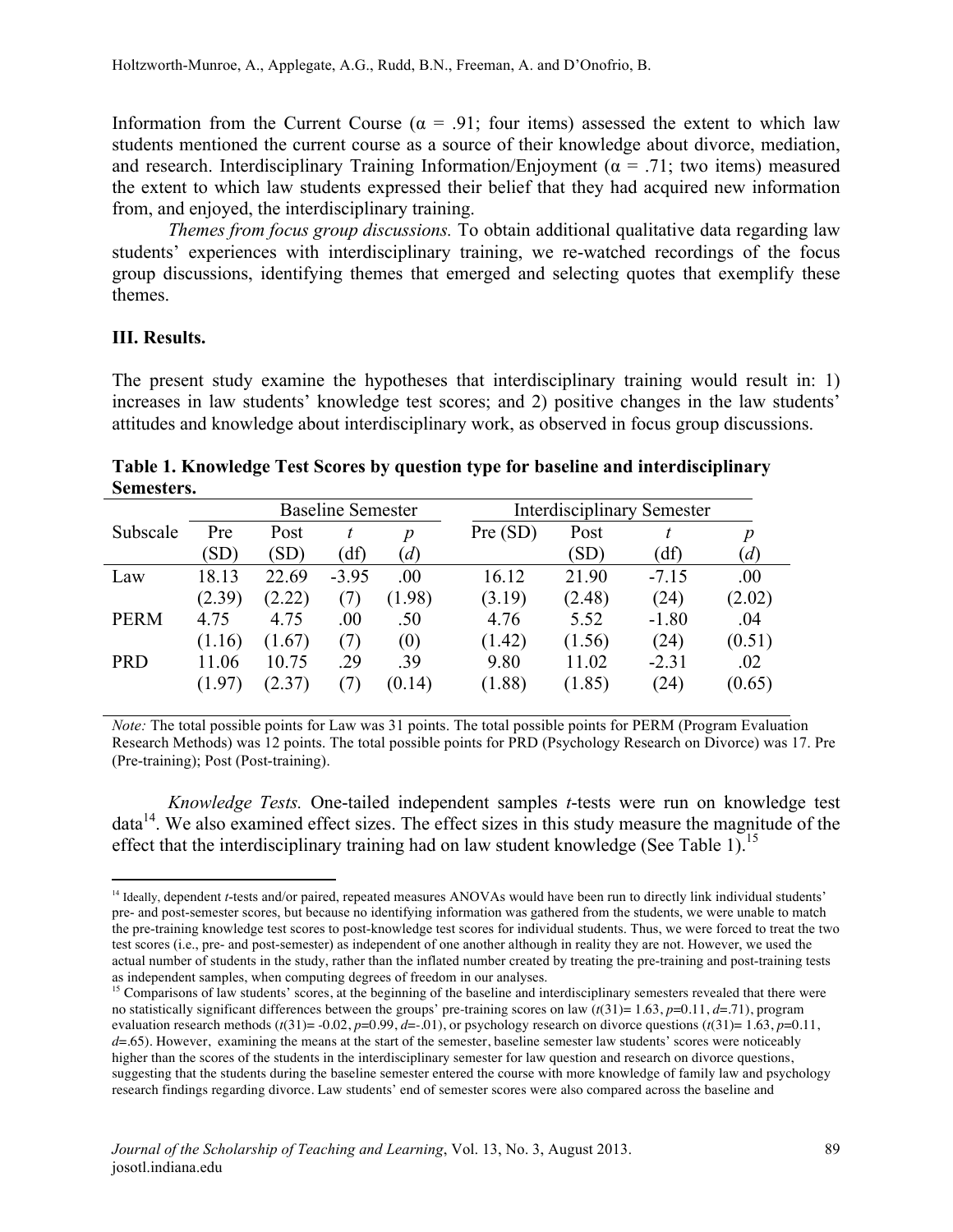Information from the Current Course ( $\alpha$  = .91; four items) assessed the extent to which law students mentioned the current course as a source of their knowledge about divorce, mediation, and research. Interdisciplinary Training Information/Enjoyment ( $\alpha$  = .71; two items) measured the extent to which law students expressed their belief that they had acquired new information from, and enjoyed, the interdisciplinary training.

*Themes from focus group discussions.* To obtain additional qualitative data regarding law students' experiences with interdisciplinary training, we re-watched recordings of the focus group discussions, identifying themes that emerged and selecting quotes that exemplify these themes.

## **III. Results.**

<u> 1989 - Johann Stein, markin film yn y breninn y breninn y breninn y breninn y breninn y breninn y breninn y b</u>

The present study examine the hypotheses that interdisciplinary training would result in: 1) increases in law students' knowledge test scores; and 2) positive changes in the law students' attitudes and knowledge about interdisciplinary work, as observed in focus group discussions.

**Table 1. Knowledge Test Scores by question type for baseline and interdisciplinary Semesters.**

|             |        | <b>Baseline Semester</b> |         |                  | <b>Interdisciplinary Semester</b> |        |         |        |
|-------------|--------|--------------------------|---------|------------------|-----------------------------------|--------|---------|--------|
| Subscale    | Pre    | Post                     |         | $\boldsymbol{p}$ | Pre (SD)                          | Post   |         | p      |
|             | (SD)   | (SD)                     | 'df)    | (d)              |                                   | (SD)   | (df)    | (d)    |
| Law         | 18.13  | 22.69                    | $-3.95$ | .00              | 16.12                             | 21.90  | $-7.15$ | .00    |
|             | (2.39) | (2.22)                   | (7)     | (1.98)           | (3.19)                            | (2.48) | (24)    | (2.02) |
| <b>PERM</b> | 4.75   | 4.75                     | .00     | .50              | 4.76                              | 5.52   | $-1.80$ | .04    |
|             | (1.16) | (1.67)                   | (7)     | (0)              | (1.42)                            | (1.56) | (24)    | (0.51) |
| <b>PRD</b>  | 11.06  | 10.75                    | .29     | .39              | 9.80                              | 11.02  | $-2.31$ | .02    |
|             | (1.97) | (2.37)                   |         | (0.14)           | (1.88)                            | (1.85) | (24)    | (0.65) |

*Note:* The total possible points for Law was 31 points. The total possible points for PERM (Program Evaluation Research Methods) was 12 points. The total possible points for PRD (Psychology Research on Divorce) was 17. Pre (Pre-training); Post (Post-training).

*Knowledge Tests.* One-tailed independent samples *t*-tests were run on knowledge test  $data<sup>14</sup>$ . We also examined effect sizes. The effect sizes in this study measure the magnitude of the effect that the interdisciplinary training had on law student knowledge (See Table 1).<sup>15</sup>

<sup>&</sup>lt;sup>14</sup> Ideally, dependent *t*-tests and/or paired, repeated measures ANOVAs would have been run to directly link individual students' pre- and post-semester scores, but because no identifying information was gathered from the students, we were unable to match the pre-training knowledge test scores to post-knowledge test scores for individual students. Thus, we were forced to treat the two test scores (i.e., pre- and post-semester) as independent of one another although in reality they are not. However, we used the actual number of students in the study, rather than the inflated number created by treating the pre-training and post-training tests as independent samples, when computing degrees of freedom in our analyses.

<sup>&</sup>lt;sup>15</sup> Comparisons of law students' scores, at the beginning of the baseline and interdisciplinary semesters revealed that there were no statistically significant differences between the groups' pre-training scores on law (*t*(31)= 1.63, *p*=0.11, *d*=.71), program evaluation research methods ( $t(31)= -0.02$ ,  $p=0.99$ ,  $d=-0.01$ ), or psychology research on divorce questions ( $t(31)= 1.63$ ,  $p=0.11$ , *d*=.65). However, examining the means at the start of the semester, baseline semester law students' scores were noticeably higher than the scores of the students in the interdisciplinary semester for law question and research on divorce questions, suggesting that the students during the baseline semester entered the course with more knowledge of family law and psychology research findings regarding divorce. Law students' end of semester scores were also compared across the baseline and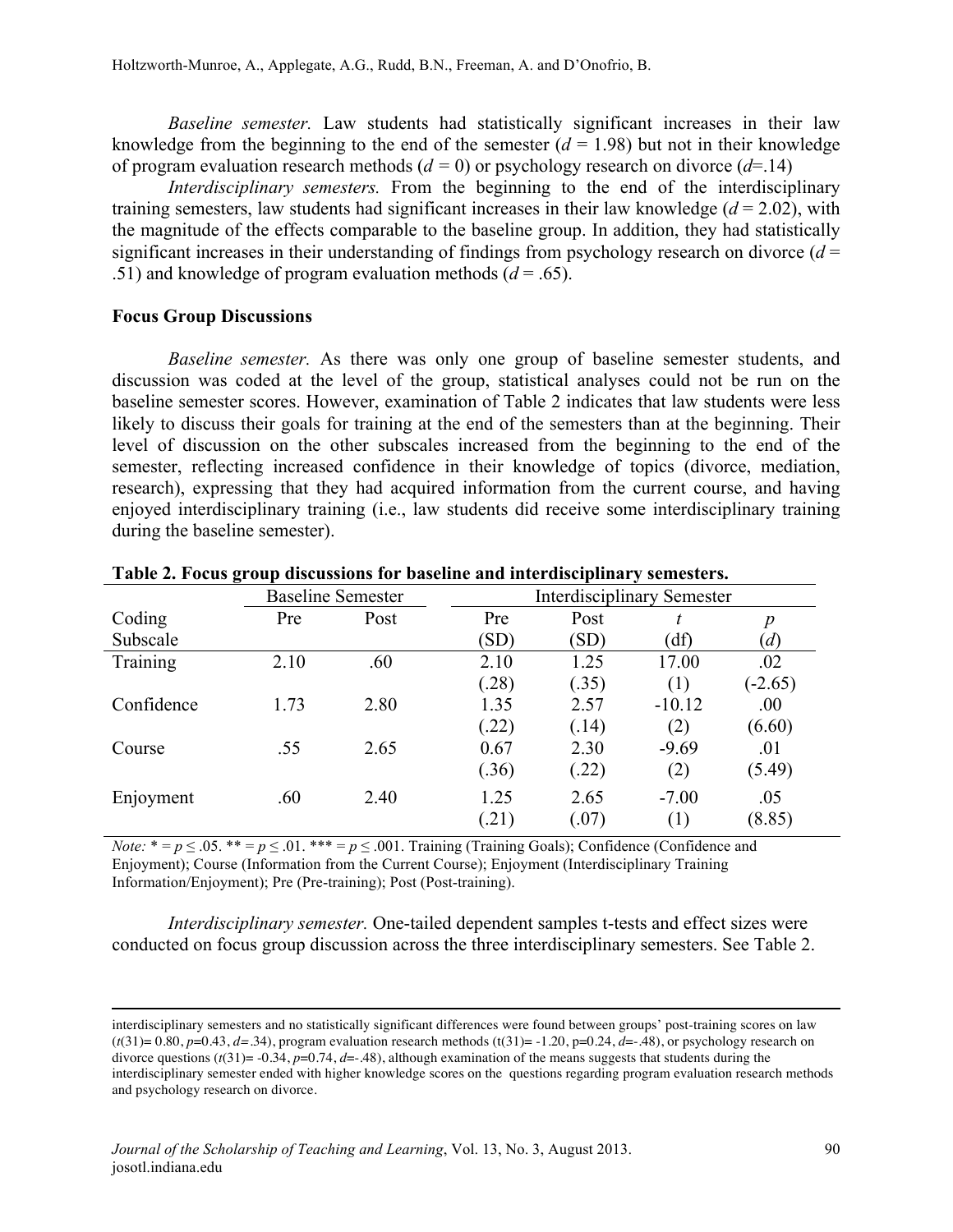*Baseline semester.* Law students had statistically significant increases in their law knowledge from the beginning to the end of the semester  $(d = 1.98)$  but not in their knowledge of program evaluation research methods  $(d = 0)$  or psychology research on divorce  $(d=14)$ 

*Interdisciplinary semesters.* From the beginning to the end of the interdisciplinary training semesters, law students had significant increases in their law knowledge  $(d = 2.02)$ , with the magnitude of the effects comparable to the baseline group. In addition, they had statistically significant increases in their understanding of findings from psychology research on divorce  $(d =$ .51) and knowledge of program evaluation methods (*d* = .65).

#### **Focus Group Discussions**

*Baseline semester.* As there was only one group of baseline semester students, and discussion was coded at the level of the group, statistical analyses could not be run on the baseline semester scores. However, examination of Table 2 indicates that law students were less likely to discuss their goals for training at the end of the semesters than at the beginning. Their level of discussion on the other subscales increased from the beginning to the end of the semester, reflecting increased confidence in their knowledge of topics (divorce, mediation, research), expressing that they had acquired information from the current course, and having enjoyed interdisciplinary training (i.e., law students did receive some interdisciplinary training during the baseline semester).

|            | <b>Baseline Semester</b> |      |       | <b>Interdisciplinary Semester</b> |          |           |
|------------|--------------------------|------|-------|-----------------------------------|----------|-----------|
| Coding     | Pre                      | Post | Pre   | Post                              |          | р         |
| Subscale   |                          |      | (SD)  | (SD)                              | (df)     | (d)       |
| Training   | 2.10                     | .60  | 2.10  | 1.25                              | 17.00    | .02       |
|            |                          |      | (28)  | (.35)                             | (1)      | $(-2.65)$ |
| Confidence | 1.73                     | 2.80 | 1.35  | 2.57                              | $-10.12$ | .00       |
|            |                          |      | (22)  | (.14)                             | (2)      | (6.60)    |
| Course     | .55                      | 2.65 | 0.67  | 2.30                              | $-9.69$  | .01       |
|            |                          |      | (.36) | (.22)                             | (2)      | (5.49)    |
| Enjoyment  | .60                      | 2.40 | 1.25  | 2.65                              | $-7.00$  | .05       |
|            |                          |      | .21)  | (.07)                             | (1)      | (8.85)    |

**Table 2. Focus group discussions for baseline and interdisciplinary semesters.**

*Note:*  $* = p \le 0.05$ .  $** = p \le 0.01$ . \*\*\*  $= p \le 0.001$ . Training (Training Goals); Confidence (Confidence and Enjoyment); Course (Information from the Current Course); Enjoyment (Interdisciplinary Training Information/Enjoyment); Pre (Pre-training); Post (Post-training).

*Interdisciplinary semester.* One-tailed dependent samples t-tests and effect sizes were conducted on focus group discussion across the three interdisciplinary semesters. See Table 2.

<u> 1989 - Andrea Santa Andrea Andrea Andrea Andrea Andrea Andrea Andrea Andrea Andrea Andrea Andrea Andrea Andr</u>

interdisciplinary semesters and no statistically significant differences were found between groups' post-training scores on law  $(t(31)=0.80, p=0.43, d=.34)$ , program evaluation research methods  $(t(31)=1.20, p=0.24, d=.48)$ , or psychology research on divorce questions (*t*(31)= -0.34, *p*=0.74, *d*=-.48), although examination of the means suggests that students during the interdisciplinary semester ended with higher knowledge scores on the questions regarding program evaluation research methods and psychology research on divorce.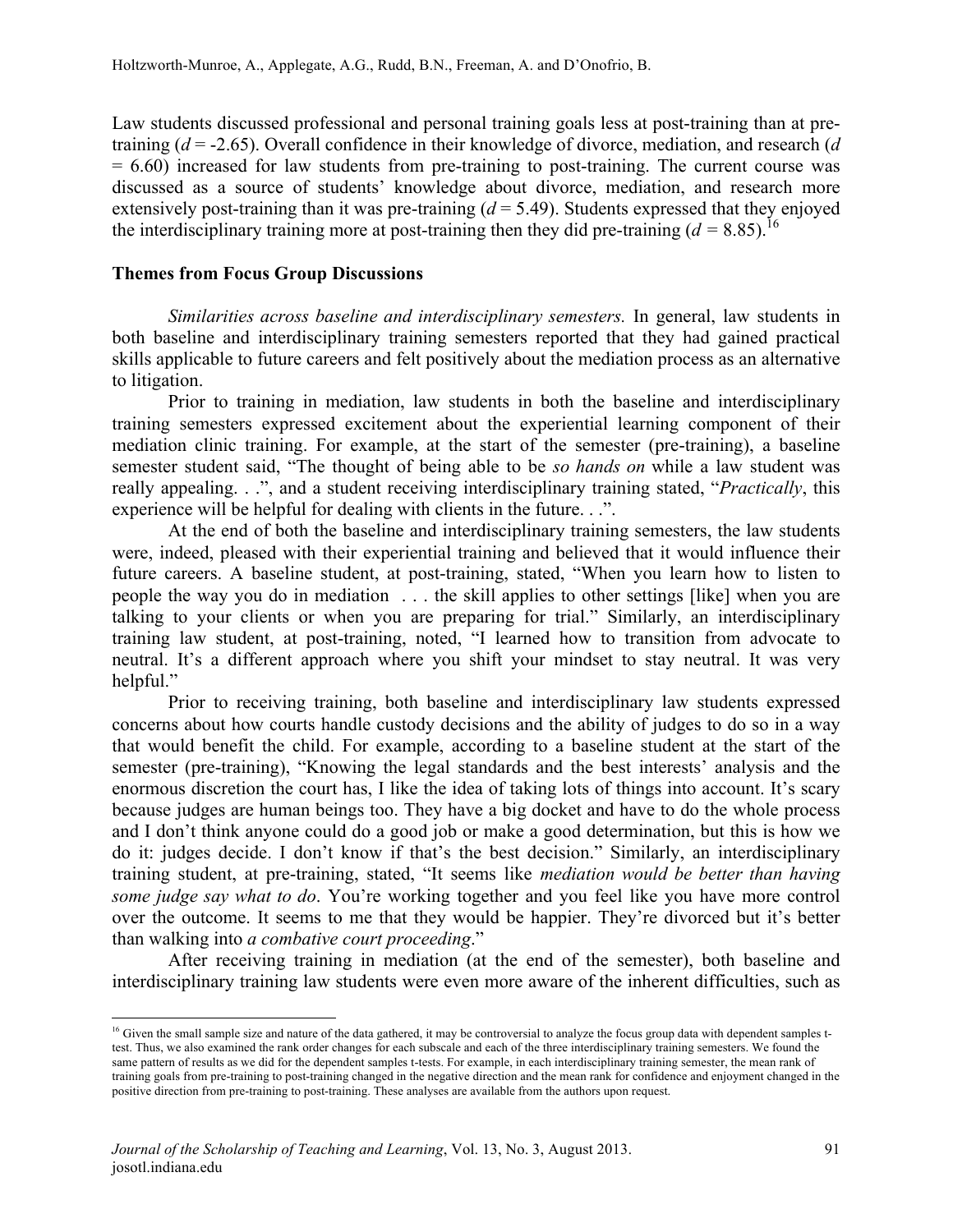Law students discussed professional and personal training goals less at post-training than at pretraining (*d* = -2.65). Overall confidence in their knowledge of divorce, mediation, and research (*d*   $= 6.60$ ) increased for law students from pre-training to post-training. The current course was discussed as a source of students' knowledge about divorce, mediation, and research more extensively post-training than it was pre-training  $(d = 5.49)$ . Students expressed that they enjoyed the interdisciplinary training more at post-training then they did pre-training  $(d = 8.85)$ .<sup>16</sup>

## **Themes from Focus Group Discussions**

*Similarities across baseline and interdisciplinary semesters.* In general, law students in both baseline and interdisciplinary training semesters reported that they had gained practical skills applicable to future careers and felt positively about the mediation process as an alternative to litigation.

Prior to training in mediation, law students in both the baseline and interdisciplinary training semesters expressed excitement about the experiential learning component of their mediation clinic training. For example, at the start of the semester (pre-training), a baseline semester student said, "The thought of being able to be *so hands on* while a law student was really appealing. . .", and a student receiving interdisciplinary training stated, "*Practically*, this experience will be helpful for dealing with clients in the future. . .".

At the end of both the baseline and interdisciplinary training semesters, the law students were, indeed, pleased with their experiential training and believed that it would influence their future careers. A baseline student, at post-training, stated, "When you learn how to listen to people the way you do in mediation . . . the skill applies to other settings [like] when you are talking to your clients or when you are preparing for trial." Similarly, an interdisciplinary training law student, at post-training, noted, "I learned how to transition from advocate to neutral. It's a different approach where you shift your mindset to stay neutral. It was very helpful."

Prior to receiving training, both baseline and interdisciplinary law students expressed concerns about how courts handle custody decisions and the ability of judges to do so in a way that would benefit the child. For example, according to a baseline student at the start of the semester (pre-training), "Knowing the legal standards and the best interests' analysis and the enormous discretion the court has, I like the idea of taking lots of things into account. It's scary because judges are human beings too. They have a big docket and have to do the whole process and I don't think anyone could do a good job or make a good determination, but this is how we do it: judges decide. I don't know if that's the best decision." Similarly, an interdisciplinary training student, at pre-training, stated, "It seems like *mediation would be better than having some judge say what to do*. You're working together and you feel like you have more control over the outcome. It seems to me that they would be happier. They're divorced but it's better than walking into *a combative court proceeding*."

After receiving training in mediation (at the end of the semester), both baseline and interdisciplinary training law students were even more aware of the inherent difficulties, such as

<u> 1989 - Johann Stein, markin film yn y breninn y breninn y breninn y breninn y breninn y breninn y breninn y b</u>

<sup>&</sup>lt;sup>16</sup> Given the small sample size and nature of the data gathered, it may be controversial to analyze the focus group data with dependent samples ttest. Thus, we also examined the rank order changes for each subscale and each of the three interdisciplinary training semesters. We found the same pattern of results as we did for the dependent samples t-tests. For example, in each interdisciplinary training semester, the mean rank of training goals from pre-training to post-training changed in the negative direction and the mean rank for confidence and enjoyment changed in the positive direction from pre-training to post-training. These analyses are available from the authors upon request.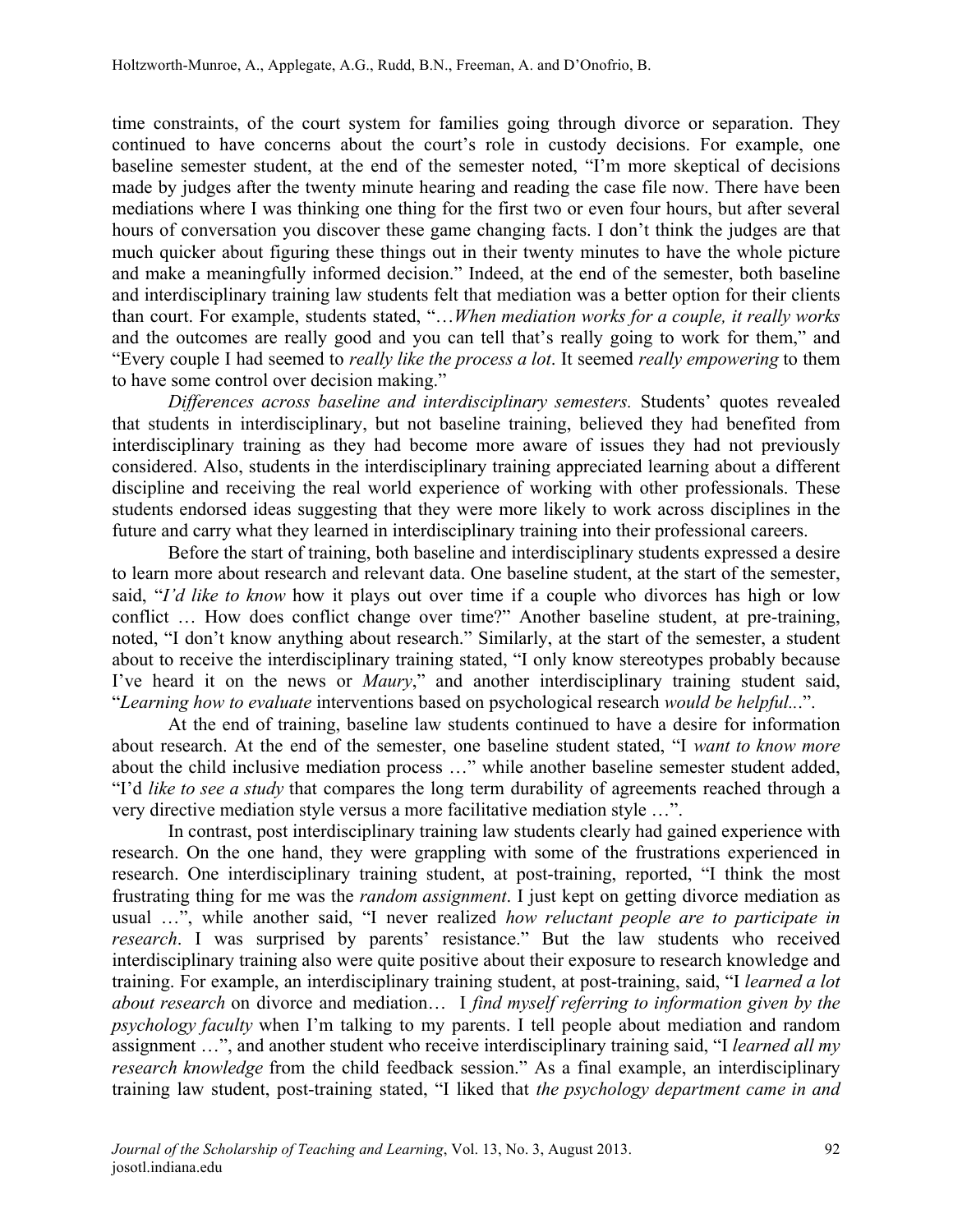time constraints, of the court system for families going through divorce or separation. They continued to have concerns about the court's role in custody decisions. For example, one baseline semester student, at the end of the semester noted, "I'm more skeptical of decisions made by judges after the twenty minute hearing and reading the case file now. There have been mediations where I was thinking one thing for the first two or even four hours, but after several hours of conversation you discover these game changing facts. I don't think the judges are that much quicker about figuring these things out in their twenty minutes to have the whole picture and make a meaningfully informed decision." Indeed, at the end of the semester, both baseline and interdisciplinary training law students felt that mediation was a better option for their clients than court. For example, students stated, "…*When mediation works for a couple, it really works*  and the outcomes are really good and you can tell that's really going to work for them," and "Every couple I had seemed to *really like the process a lot*. It seemed *really empowering* to them to have some control over decision making."

*Differences across baseline and interdisciplinary semesters.* Students' quotes revealed that students in interdisciplinary, but not baseline training, believed they had benefited from interdisciplinary training as they had become more aware of issues they had not previously considered. Also, students in the interdisciplinary training appreciated learning about a different discipline and receiving the real world experience of working with other professionals. These students endorsed ideas suggesting that they were more likely to work across disciplines in the future and carry what they learned in interdisciplinary training into their professional careers.

Before the start of training, both baseline and interdisciplinary students expressed a desire to learn more about research and relevant data. One baseline student, at the start of the semester, said, "*I'd like to know* how it plays out over time if a couple who divorces has high or low conflict … How does conflict change over time?" Another baseline student, at pre-training, noted, "I don't know anything about research." Similarly, at the start of the semester, a student about to receive the interdisciplinary training stated, "I only know stereotypes probably because I've heard it on the news or *Maury*," and another interdisciplinary training student said, "*Learning how to evaluate* interventions based on psychological research *would be helpful..*.".

At the end of training, baseline law students continued to have a desire for information about research. At the end of the semester, one baseline student stated, "I *want to know more*  about the child inclusive mediation process …" while another baseline semester student added, "I'd *like to see a study* that compares the long term durability of agreements reached through a very directive mediation style versus a more facilitative mediation style …".

In contrast, post interdisciplinary training law students clearly had gained experience with research. On the one hand, they were grappling with some of the frustrations experienced in research. One interdisciplinary training student, at post-training, reported, "I think the most frustrating thing for me was the *random assignment*. I just kept on getting divorce mediation as usual …", while another said, "I never realized *how reluctant people are to participate in research*. I was surprised by parents' resistance." But the law students who received interdisciplinary training also were quite positive about their exposure to research knowledge and training. For example, an interdisciplinary training student, at post-training, said, "I *learned a lot about research* on divorce and mediation… I *find myself referring to information given by the psychology faculty* when I'm talking to my parents. I tell people about mediation and random assignment …", and another student who receive interdisciplinary training said, "I *learned all my research knowledge* from the child feedback session." As a final example, an interdisciplinary training law student, post-training stated, "I liked that *the psychology department came in and*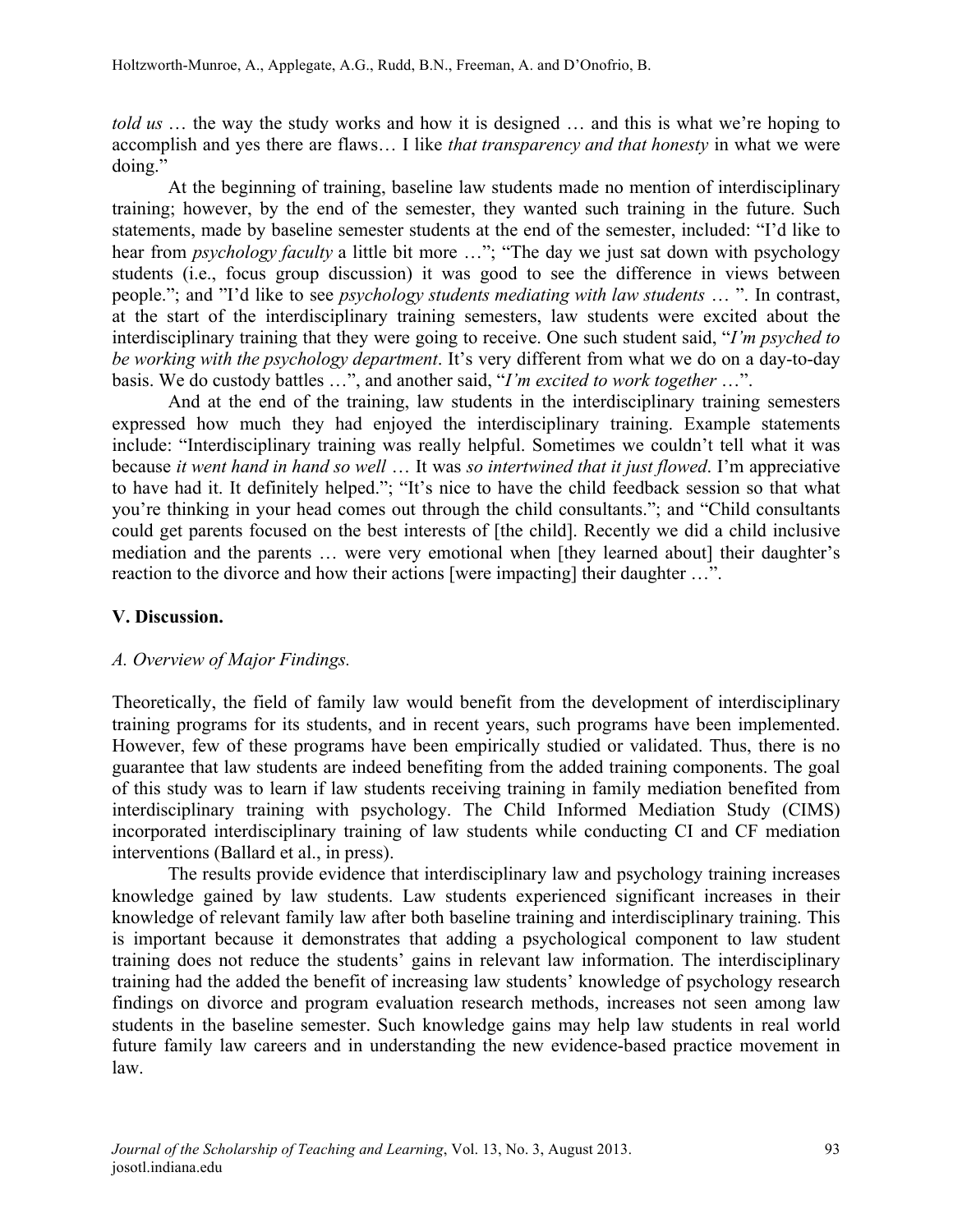*told us* … the way the study works and how it is designed … and this is what we're hoping to accomplish and yes there are flaws… I like *that transparency and that honesty* in what we were doing."

At the beginning of training, baseline law students made no mention of interdisciplinary training; however, by the end of the semester, they wanted such training in the future. Such statements, made by baseline semester students at the end of the semester, included: "I'd like to hear from *psychology faculty* a little bit more …"; "The day we just sat down with psychology students (i.e., focus group discussion) it was good to see the difference in views between people."; and "I'd like to see *psychology students mediating with law students* … ". In contrast, at the start of the interdisciplinary training semesters, law students were excited about the interdisciplinary training that they were going to receive. One such student said, "*I'm psyched to be working with the psychology department*. It's very different from what we do on a day-to-day basis. We do custody battles …", and another said, "*I'm excited to work together* …".

And at the end of the training, law students in the interdisciplinary training semesters expressed how much they had enjoyed the interdisciplinary training. Example statements include: "Interdisciplinary training was really helpful. Sometimes we couldn't tell what it was because *it went hand in hand so well* … It was *so intertwined that it just flowed*. I'm appreciative to have had it. It definitely helped."; "It's nice to have the child feedback session so that what you're thinking in your head comes out through the child consultants."; and "Child consultants could get parents focused on the best interests of [the child]. Recently we did a child inclusive mediation and the parents … were very emotional when [they learned about] their daughter's reaction to the divorce and how their actions [were impacting] their daughter …".

## **V. Discussion.**

## *A. Overview of Major Findings.*

Theoretically, the field of family law would benefit from the development of interdisciplinary training programs for its students, and in recent years, such programs have been implemented. However, few of these programs have been empirically studied or validated. Thus, there is no guarantee that law students are indeed benefiting from the added training components. The goal of this study was to learn if law students receiving training in family mediation benefited from interdisciplinary training with psychology. The Child Informed Mediation Study (CIMS) incorporated interdisciplinary training of law students while conducting CI and CF mediation interventions (Ballard et al., in press).

The results provide evidence that interdisciplinary law and psychology training increases knowledge gained by law students. Law students experienced significant increases in their knowledge of relevant family law after both baseline training and interdisciplinary training. This is important because it demonstrates that adding a psychological component to law student training does not reduce the students' gains in relevant law information. The interdisciplinary training had the added the benefit of increasing law students' knowledge of psychology research findings on divorce and program evaluation research methods, increases not seen among law students in the baseline semester. Such knowledge gains may help law students in real world future family law careers and in understanding the new evidence-based practice movement in law.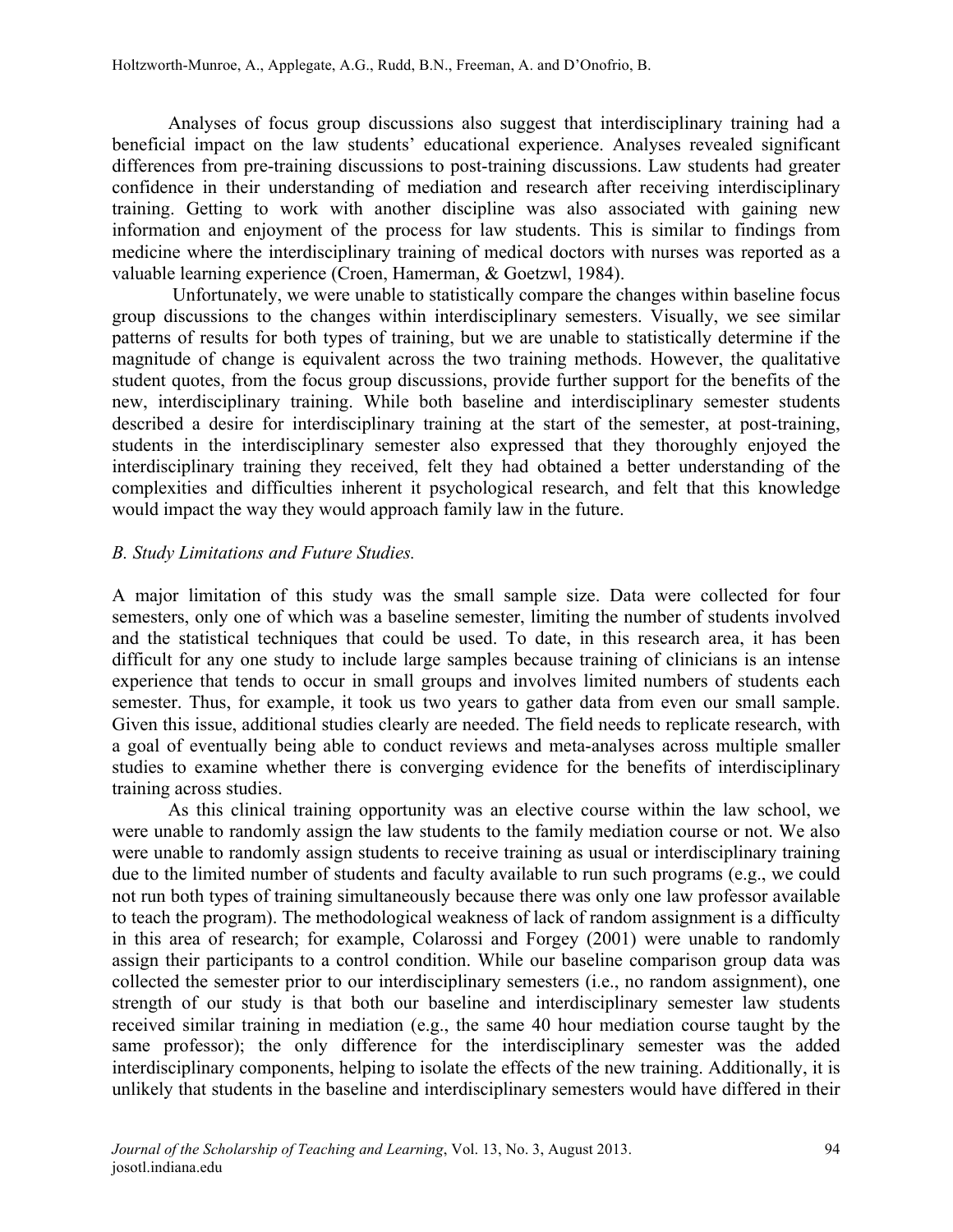Analyses of focus group discussions also suggest that interdisciplinary training had a beneficial impact on the law students' educational experience. Analyses revealed significant differences from pre-training discussions to post-training discussions. Law students had greater confidence in their understanding of mediation and research after receiving interdisciplinary training. Getting to work with another discipline was also associated with gaining new information and enjoyment of the process for law students. This is similar to findings from medicine where the interdisciplinary training of medical doctors with nurses was reported as a valuable learning experience (Croen, Hamerman, & Goetzwl, 1984).

Unfortunately, we were unable to statistically compare the changes within baseline focus group discussions to the changes within interdisciplinary semesters. Visually, we see similar patterns of results for both types of training, but we are unable to statistically determine if the magnitude of change is equivalent across the two training methods. However, the qualitative student quotes, from the focus group discussions, provide further support for the benefits of the new, interdisciplinary training. While both baseline and interdisciplinary semester students described a desire for interdisciplinary training at the start of the semester, at post-training, students in the interdisciplinary semester also expressed that they thoroughly enjoyed the interdisciplinary training they received, felt they had obtained a better understanding of the complexities and difficulties inherent it psychological research, and felt that this knowledge would impact the way they would approach family law in the future.

## *B. Study Limitations and Future Studies.*

A major limitation of this study was the small sample size. Data were collected for four semesters, only one of which was a baseline semester, limiting the number of students involved and the statistical techniques that could be used. To date, in this research area, it has been difficult for any one study to include large samples because training of clinicians is an intense experience that tends to occur in small groups and involves limited numbers of students each semester. Thus, for example, it took us two years to gather data from even our small sample. Given this issue, additional studies clearly are needed. The field needs to replicate research, with a goal of eventually being able to conduct reviews and meta-analyses across multiple smaller studies to examine whether there is converging evidence for the benefits of interdisciplinary training across studies.

As this clinical training opportunity was an elective course within the law school, we were unable to randomly assign the law students to the family mediation course or not. We also were unable to randomly assign students to receive training as usual or interdisciplinary training due to the limited number of students and faculty available to run such programs (e.g., we could not run both types of training simultaneously because there was only one law professor available to teach the program). The methodological weakness of lack of random assignment is a difficulty in this area of research; for example, Colarossi and Forgey (2001) were unable to randomly assign their participants to a control condition. While our baseline comparison group data was collected the semester prior to our interdisciplinary semesters (i.e., no random assignment), one strength of our study is that both our baseline and interdisciplinary semester law students received similar training in mediation (e.g., the same 40 hour mediation course taught by the same professor); the only difference for the interdisciplinary semester was the added interdisciplinary components, helping to isolate the effects of the new training. Additionally, it is unlikely that students in the baseline and interdisciplinary semesters would have differed in their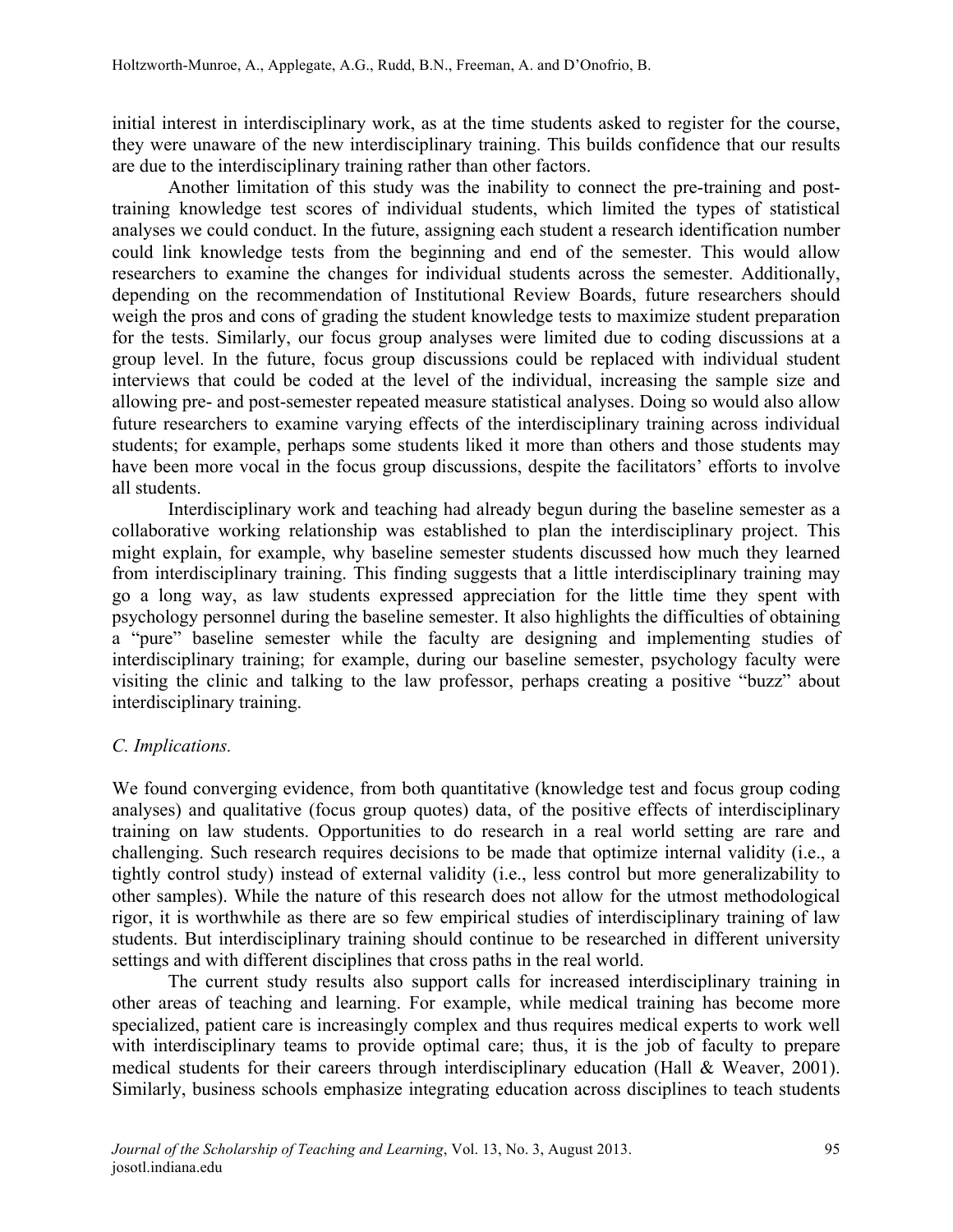initial interest in interdisciplinary work, as at the time students asked to register for the course, they were unaware of the new interdisciplinary training. This builds confidence that our results are due to the interdisciplinary training rather than other factors.

Another limitation of this study was the inability to connect the pre-training and posttraining knowledge test scores of individual students, which limited the types of statistical analyses we could conduct. In the future, assigning each student a research identification number could link knowledge tests from the beginning and end of the semester. This would allow researchers to examine the changes for individual students across the semester. Additionally, depending on the recommendation of Institutional Review Boards, future researchers should weigh the pros and cons of grading the student knowledge tests to maximize student preparation for the tests. Similarly, our focus group analyses were limited due to coding discussions at a group level. In the future, focus group discussions could be replaced with individual student interviews that could be coded at the level of the individual, increasing the sample size and allowing pre- and post-semester repeated measure statistical analyses. Doing so would also allow future researchers to examine varying effects of the interdisciplinary training across individual students; for example, perhaps some students liked it more than others and those students may have been more vocal in the focus group discussions, despite the facilitators' efforts to involve all students.

Interdisciplinary work and teaching had already begun during the baseline semester as a collaborative working relationship was established to plan the interdisciplinary project. This might explain, for example, why baseline semester students discussed how much they learned from interdisciplinary training. This finding suggests that a little interdisciplinary training may go a long way, as law students expressed appreciation for the little time they spent with psychology personnel during the baseline semester. It also highlights the difficulties of obtaining a "pure" baseline semester while the faculty are designing and implementing studies of interdisciplinary training; for example, during our baseline semester, psychology faculty were visiting the clinic and talking to the law professor, perhaps creating a positive "buzz" about interdisciplinary training.

## *C. Implications.*

We found converging evidence, from both quantitative (knowledge test and focus group coding analyses) and qualitative (focus group quotes) data, of the positive effects of interdisciplinary training on law students. Opportunities to do research in a real world setting are rare and challenging. Such research requires decisions to be made that optimize internal validity (i.e., a tightly control study) instead of external validity (i.e., less control but more generalizability to other samples). While the nature of this research does not allow for the utmost methodological rigor, it is worthwhile as there are so few empirical studies of interdisciplinary training of law students. But interdisciplinary training should continue to be researched in different university settings and with different disciplines that cross paths in the real world.

The current study results also support calls for increased interdisciplinary training in other areas of teaching and learning. For example, while medical training has become more specialized, patient care is increasingly complex and thus requires medical experts to work well with interdisciplinary teams to provide optimal care; thus, it is the job of faculty to prepare medical students for their careers through interdisciplinary education (Hall & Weaver, 2001). Similarly, business schools emphasize integrating education across disciplines to teach students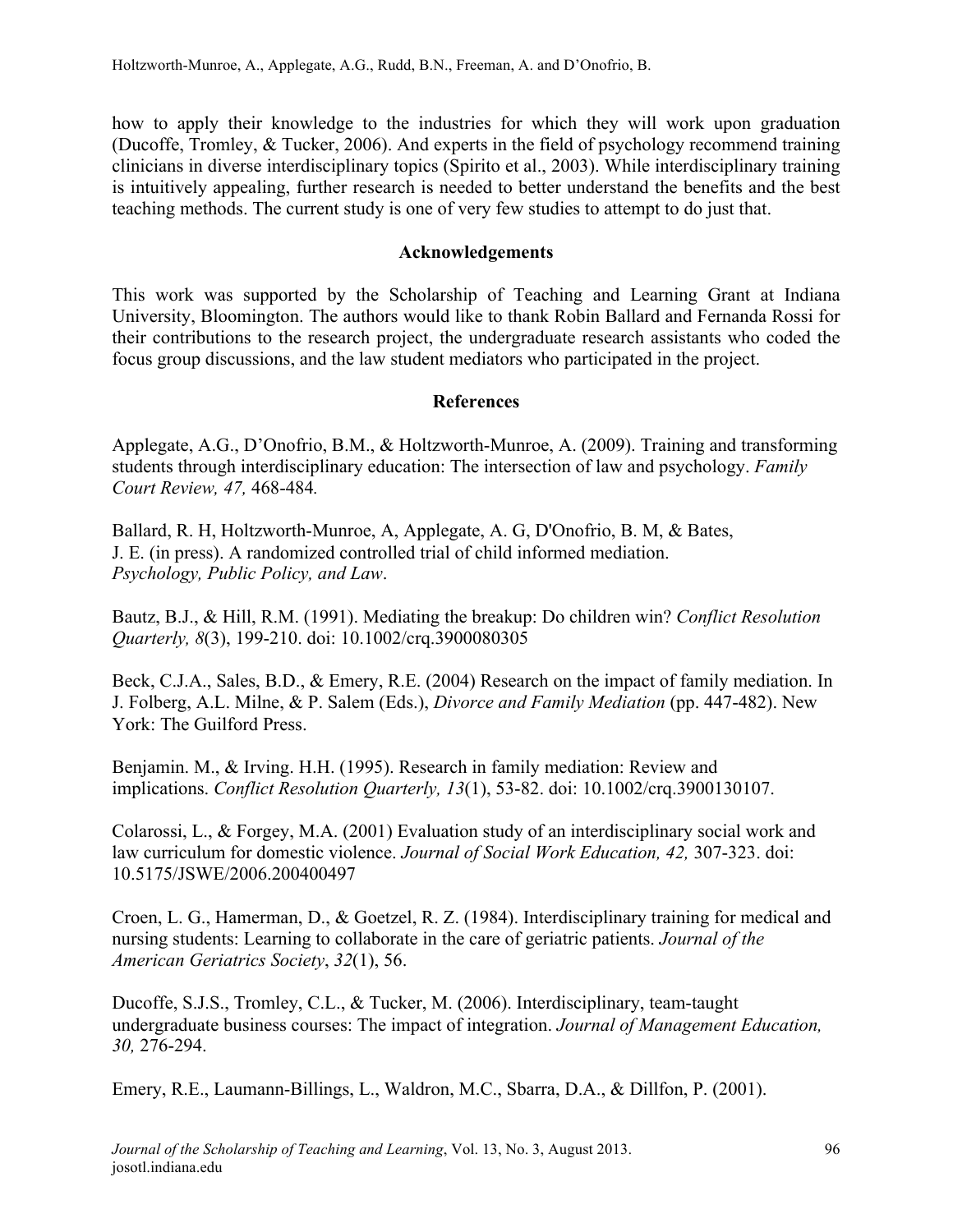how to apply their knowledge to the industries for which they will work upon graduation (Ducoffe, Tromley, & Tucker, 2006). And experts in the field of psychology recommend training clinicians in diverse interdisciplinary topics (Spirito et al., 2003). While interdisciplinary training is intuitively appealing, further research is needed to better understand the benefits and the best teaching methods. The current study is one of very few studies to attempt to do just that.

## **Acknowledgements**

This work was supported by the Scholarship of Teaching and Learning Grant at Indiana University, Bloomington. The authors would like to thank Robin Ballard and Fernanda Rossi for their contributions to the research project, the undergraduate research assistants who coded the focus group discussions, and the law student mediators who participated in the project.

## **References**

Applegate, A.G., D'Onofrio, B.M., & Holtzworth-Munroe, A. (2009). Training and transforming students through interdisciplinary education: The intersection of law and psychology. *Family Court Review, 47,* 468-484*.*

Ballard, R. H, Holtzworth-Munroe, A, Applegate, A. G, D'Onofrio, B. M, & Bates, J. E. (in press). A randomized controlled trial of child informed mediation. *Psychology, Public Policy, and Law*.

Bautz, B.J., & Hill, R.M. (1991). Mediating the breakup: Do children win? *Conflict Resolution Quarterly, 8*(3), 199-210. doi: 10.1002/crq.3900080305

Beck, C.J.A., Sales, B.D., & Emery, R.E. (2004) Research on the impact of family mediation. In J. Folberg, A.L. Milne, & P. Salem (Eds.), *Divorce and Family Mediation* (pp. 447-482). New York: The Guilford Press.

Benjamin. M., & Irving. H.H. (1995). Research in family mediation: Review and implications. *Conflict Resolution Quarterly, 13*(1), 53-82. doi: 10.1002/crq.3900130107.

Colarossi, L., & Forgey, M.A. (2001) Evaluation study of an interdisciplinary social work and law curriculum for domestic violence. *Journal of Social Work Education, 42,* 307-323. doi: 10.5175/JSWE/2006.200400497

Croen, L. G., Hamerman, D., & Goetzel, R. Z. (1984). Interdisciplinary training for medical and nursing students: Learning to collaborate in the care of geriatric patients. *Journal of the American Geriatrics Society*, *32*(1), 56.

Ducoffe, S.J.S., Tromley, C.L., & Tucker, M. (2006). Interdisciplinary, team-taught undergraduate business courses: The impact of integration. *Journal of Management Education, 30,* 276-294.

Emery, R.E., Laumann-Billings, L., Waldron, M.C., Sbarra, D.A., & Dillfon, P. (2001).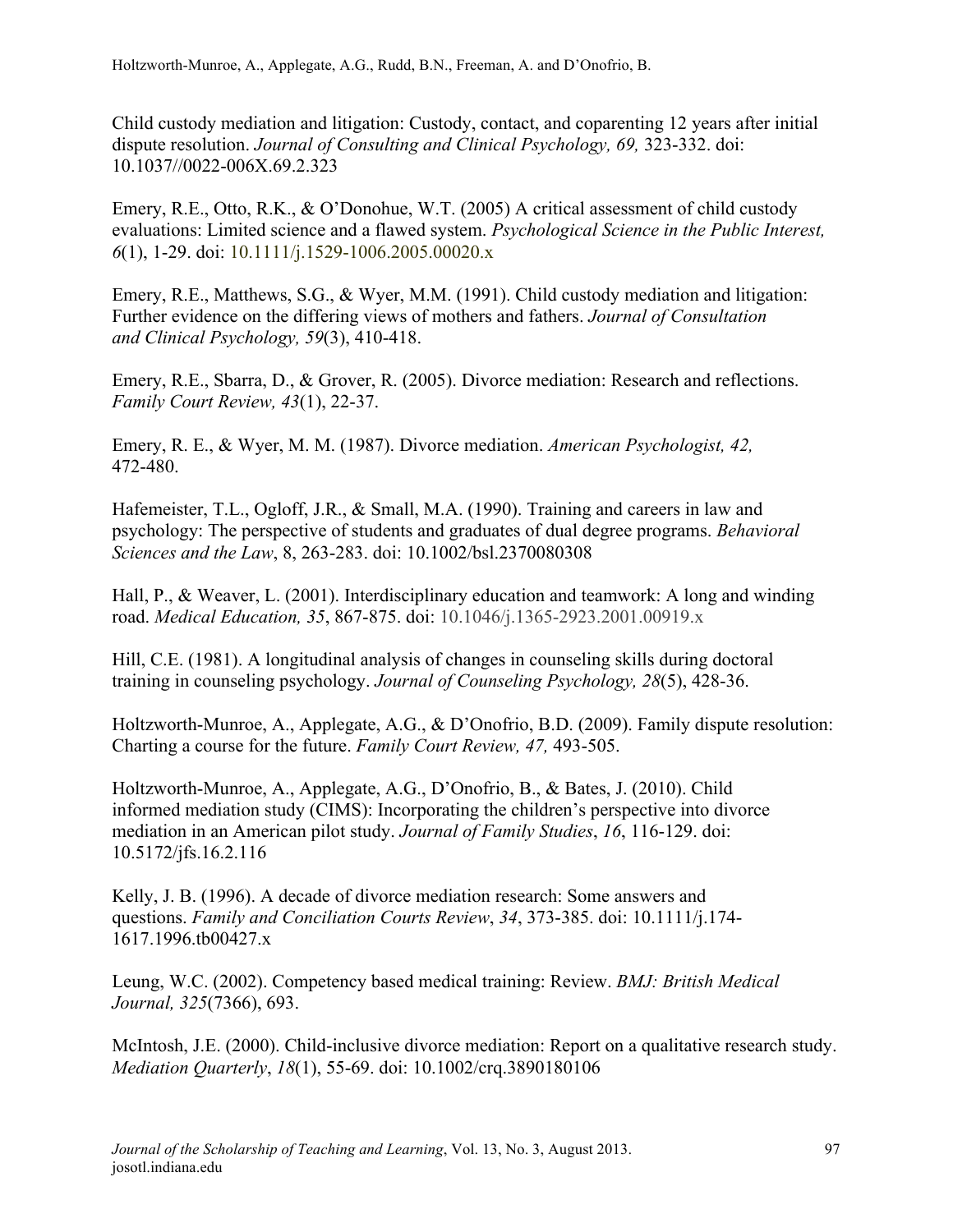Child custody mediation and litigation: Custody, contact, and coparenting 12 years after initial dispute resolution. *Journal of Consulting and Clinical Psychology, 69,* 323-332. doi: 10.1037//0022-006X.69.2.323

Emery, R.E., Otto, R.K., & O'Donohue, W.T. (2005) A critical assessment of child custody evaluations: Limited science and a flawed system. *Psychological Science in the Public Interest, 6*(1), 1-29. doi: 10.1111/j.1529-1006.2005.00020.x

Emery, R.E., Matthews, S.G., & Wyer, M.M. (1991). Child custody mediation and litigation: Further evidence on the differing views of mothers and fathers. *Journal of Consultation and Clinical Psychology, 59*(3), 410-418.

Emery, R.E., Sbarra, D., & Grover, R. (2005). Divorce mediation: Research and reflections. *Family Court Review, 43*(1), 22-37.

Emery, R. E., & Wyer, M. M. (1987). Divorce mediation. *American Psychologist, 42,*  472-480.

Hafemeister, T.L., Ogloff, J.R., & Small, M.A. (1990). Training and careers in law and psychology: The perspective of students and graduates of dual degree programs. *Behavioral Sciences and the Law*, 8, 263-283. doi: 10.1002/bsl.2370080308

Hall, P., & Weaver, L. (2001). Interdisciplinary education and teamwork: A long and winding road. *Medical Education, 35*, 867-875. doi: 10.1046/j.1365-2923.2001.00919.x

Hill, C.E. (1981). A longitudinal analysis of changes in counseling skills during doctoral training in counseling psychology. *Journal of Counseling Psychology, 28*(5), 428-36.

Holtzworth-Munroe, A., Applegate, A.G., & D'Onofrio, B.D. (2009). Family dispute resolution: Charting a course for the future. *Family Court Review, 47,* 493-505.

Holtzworth-Munroe, A., Applegate, A.G., D'Onofrio, B., & Bates, J. (2010). Child informed mediation study (CIMS): Incorporating the children's perspective into divorce mediation in an American pilot study. *Journal of Family Studies*, *16*, 116-129. doi: 10.5172/jfs.16.2.116

Kelly, J. B. (1996). A decade of divorce mediation research: Some answers and questions. *Family and Conciliation Courts Review*, *34*, 373-385. doi: 10.1111/j.174- 1617.1996.tb00427.x

Leung, W.C. (2002). Competency based medical training: Review. *BMJ: British Medical Journal, 325*(7366), 693.

McIntosh, J.E. (2000). Child-inclusive divorce mediation: Report on a qualitative research study. *Mediation Quarterly*, *18*(1), 55-69. doi: 10.1002/crq.3890180106